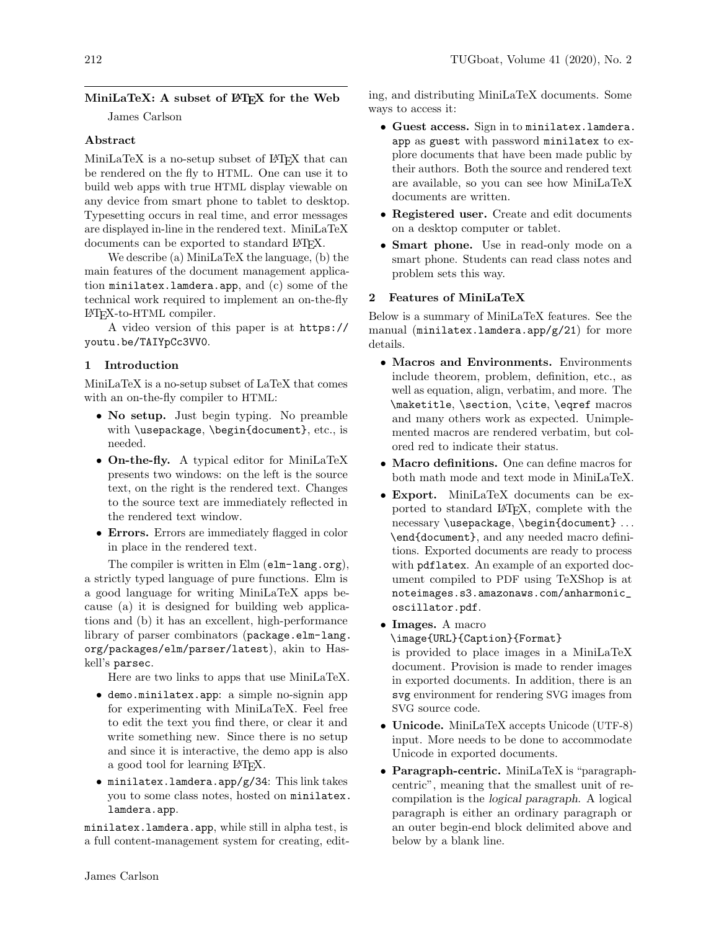# MiniLaTeX: A subset of LATEX for the Web

James Carlson

## Abstract

MiniLaTeX is a no-setup subset of LATEX that can be rendered on the fly to HTML. One can use it to build web apps with true HTML display viewable on any device from smart phone to tablet to desktop. Typesetting occurs in real time, and error messages are displayed in-line in the rendered text. MiniLaTeX documents can be exported to standard LAT<sub>EX</sub>.

We describe (a) MiniLaTeX the language, (b) the main features of the document management application [minilatex.lamdera.app](https://minilatex.lamdera.app), and (c) some of the technical work required to implement an on-the-fly LATEX-to-HTML compiler.

A video version of this paper is at [https://](https://youtu.be/TAIYpCc3VV0) [youtu.be/TAIYpCc3VV0](https://youtu.be/TAIYpCc3VV0).

## 1 Introduction

MiniLaTeX is a no-setup subset of LaTeX that comes with an on-the-fly compiler to HTML:

- No setup. Just begin typing. No preamble with \usepackage, \begin{document}, etc., is needed.
- On-the-fly. A typical editor for MiniLaTeX presents two windows: on the left is the source text, on the right is the rendered text. Changes to the source text are immediately reflected in the rendered text window.
- Errors. Errors are immediately flagged in color in place in the rendered text.

The compiler is written in Elm ([elm-lang.org](https://elm-lang.org)), a strictly typed language of pure functions. Elm is a good language for writing MiniLaTeX apps because (a) it is designed for building web applications and (b) it has an excellent, high-performance library of parser combinators ([package.elm-lang.](https://package.elm-lang.org/packages/elm/parser/latest) [org/packages/elm/parser/latest](https://package.elm-lang.org/packages/elm/parser/latest)), akin to Haskell's parsec.

Here are two links to apps that use MiniLaTeX.

- [demo.minilatex.app](https://demo.minilatex.app): a simple no-signin app for experimenting with MiniLaTeX. Feel free to edit the text you find there, or clear it and write something new. Since there is no setup and since it is interactive, the demo app is also a good tool for learning LATEX.
- [minilatex.lamdera.app/g/34](https://minilatex.lamdera.app/g/34): This link takes you to some class notes, hosted on [minilatex.](https://minilatex.lamdera.app) [lamdera.app](https://minilatex.lamdera.app).

[minilatex.lamdera.app](https://minilatex.lamdera.app), while still in alpha test, is a full content-management system for creating, edit-

ing, and distributing MiniLaTeX documents. Some ways to access it:

- Guest access. Sign in to [minilatex.lamdera.](https://minilatex.lamdera.app) [app](https://minilatex.lamdera.app) as guest with password minilatex to explore documents that have been made public by their authors. Both the source and rendered text are available, so you can see how MiniLaTeX documents are written.
- Registered user. Create and edit documents on a desktop computer or tablet.
- Smart phone. Use in read-only mode on a smart phone. Students can read class notes and problem sets this way.

## 2 Features of MiniLaTeX

Below is a summary of MiniLaTeX features. See the manual (minilatex.lamdera.app/ $g/21$ ) for more details.

- Macros and Environments. Environments include theorem, problem, definition, etc., as well as equation, align, verbatim, and more. The \maketitle, \section, \cite, \eqref macros and many others work as expected. Unimplemented macros are rendered verbatim, but colored red to indicate their status.
- Macro definitions. One can define macros for both math mode and text mode in MiniLaTeX.
- Export. MiniLaTeX documents can be exported to standard LATEX, complete with the necessary \usepackage, \begin{document} ... \end{document}, and any needed macro definitions. Exported documents are ready to process with pdflatex. An example of an exported document compiled to PDF using TeXShop is at [noteimages.s3.amazonaws.com/anharmonic\\_](https://noteimages.s3.amazonaws.com/anharmonic_oscillator.pdf) [oscillator.pdf](https://noteimages.s3.amazonaws.com/anharmonic_oscillator.pdf).
- Images. A macro

SVG source code.

\image{URL}{Caption}{Format} is provided to place images in a MiniLaTeX document. Provision is made to render images in exported documents. In addition, there is an svg environment for rendering SVG images from

- Unicode. MiniLaTeX accepts Unicode (UTF-8) input. More needs to be done to accommodate Unicode in exported documents.
- Paragraph-centric. MiniLaTeX is "paragraphcentric", meaning that the smallest unit of recompilation is the logical paragraph. A logical paragraph is either an ordinary paragraph or an outer begin-end block delimited above and below by a blank line.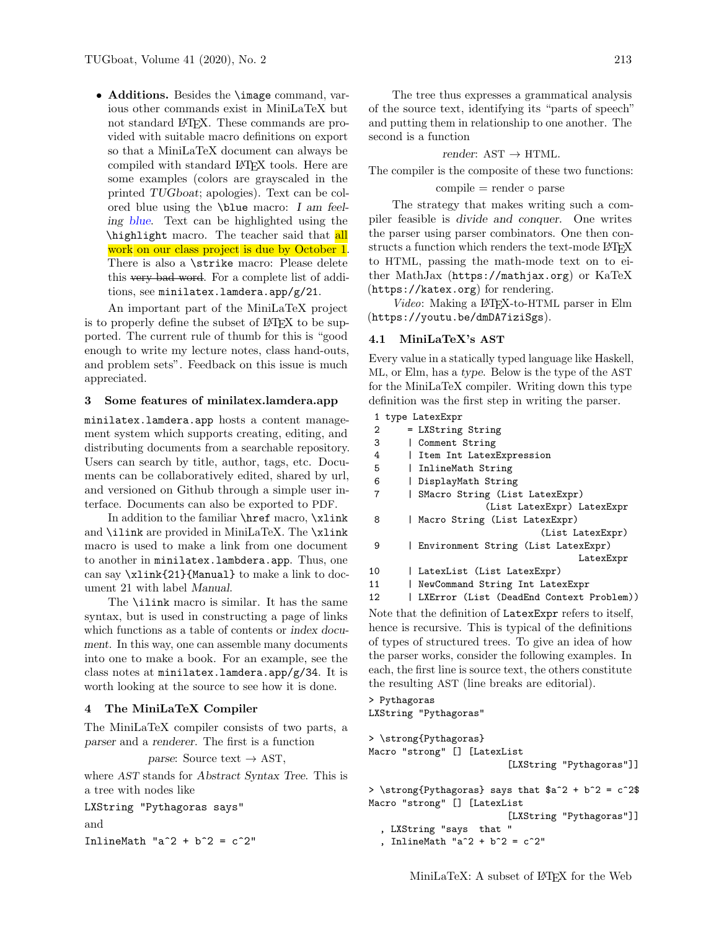• Additions. Besides the \image command, various other commands exist in MiniLaTeX but not standard LATEX. These commands are provided with suitable macro definitions on export so that a MiniLaTeX document can always be compiled with standard LATEX tools. Here are some examples (colors are grayscaled in the printed TUGboat; apologies). Text can be colored blue using the  $\blacksquare$ blue macro: I am feeling blue. Text can be highlighted using the \highlight macro. The teacher said that all work on our class project is due by October 1. There is also a **\strike** macro: Please delete this very bad word. For a complete list of additions, see [minilatex.lamdera.app/g/21](https://minilatex.lamdera.app/g/21).

An important part of the MiniLaTeX project is to properly define the subset of LATEX to be supported. The current rule of thumb for this is "good enough to write my lecture notes, class hand-outs, and problem sets". Feedback on this issue is much appreciated.

#### 3 Some features of minilatex.lamdera.app

[minilatex.lamdera.app](https://minilatex.lamdera.app) hosts a content management system which supports creating, editing, and distributing documents from a searchable repository. Users can search by title, author, tags, etc. Documents can be collaboratively edited, shared by url, and versioned on Github through a simple user interface. Documents can also be exported to PDF.

In addition to the familiar \href macro, \xlink and \ilink are provided in MiniLaTeX. The \xlink macro is used to make a link from one document to another in minilatex.lambdera.app. Thus, one can say \xlink{21}{Manual} to make a link to document 21 with label Manual.

The \ilink macro is similar. It has the same syntax, but is used in constructing a page of links which functions as a table of contents or index document. In this way, one can assemble many documents into one to make a book. For an example, see the class notes at [minilatex.lamdera.app/g/34](https://minilatex.lamdera.app/g/34). It is worth looking at the source to see how it is done.

### 4 The MiniLaTeX Compiler

The MiniLaTeX compiler consists of two parts, a parser and a renderer. The first is a function

parse: Source text  $\rightarrow$  AST,

where AST stands for Abstract Syntax Tree. This is a tree with nodes like

LXString "Pythagoras says"

and

InlineMath "a^2 + b^2 =  $c^2$ "

The tree thus expresses a grammatical analysis of the source text, identifying its "parts of speech" and putting them in relationship to one another. The second is a function

#### render:  $AST \rightarrow HTML$ .

The compiler is the composite of these two functions:

#### $\text{compile} = \text{render} \circ \text{parse}$

The strategy that makes writing such a compiler feasible is divide and conquer. One writes the parser using parser combinators. One then constructs a function which renders the text-mode LAT<sub>EX</sub> to HTML, passing the math-mode text on to either MathJax (<https://mathjax.org>) or KaTeX (<https://katex.org>) for rendering.

Video: Making a IATEX-to-HTML parser in Elm (<https://youtu.be/dmDA7iziSgs>).

### 4.1 MiniLaTeX's AST

Every value in a statically typed language like Haskell, ML, or Elm, has a type. Below is the type of the AST for the MiniLaTeX compiler. Writing down this type definition was the first step in writing the parser.

### 1 type LatexExpr

| $\overline{2}$ | = LXString String                                                                                                                                                                                                                 |
|----------------|-----------------------------------------------------------------------------------------------------------------------------------------------------------------------------------------------------------------------------------|
| 3              | Comment String                                                                                                                                                                                                                    |
| 4              | Item Int LatexExpression                                                                                                                                                                                                          |
| 5              | InlineMath String                                                                                                                                                                                                                 |
| 6              | DisplayMath String                                                                                                                                                                                                                |
| 7              | SMacro String (List LatexExpr)                                                                                                                                                                                                    |
|                | (List LatexExpr) LatexExpr                                                                                                                                                                                                        |
| 8              | Macro String (List LatexExpr)                                                                                                                                                                                                     |
|                | (List LatexExpr)                                                                                                                                                                                                                  |
| 9              | Environment String (List LatexExpr)                                                                                                                                                                                               |
|                | LatexExpr                                                                                                                                                                                                                         |
| 10             | LatexList (List LatexExpr)                                                                                                                                                                                                        |
| 11             | NewCommand String Int LatexExpr                                                                                                                                                                                                   |
| 12             | LXError (List (DeadEnd Context Problem))                                                                                                                                                                                          |
|                | $\mathbf{M}$ is the set of the contract of the contract of the contract of the contract of the contract of the contract of the contract of the contract of the contract of the contract of the contract of the contract of the co |

Note that the definition of LatexExpr refers to itself, hence is recursive. This is typical of the definitions of types of structured trees. To give an idea of how the parser works, consider the following examples. In each, the first line is source text, the others constitute the resulting AST (line breaks are editorial).

```
> Pythagoras
LXString "Pythagoras"
> \strong{Pythagoras}
Macro "strong" [] [LatexList
                           [LXString "Pythagoras"]]
> \strong{Pythagoras} says that a^2 + b^2 = c^2$
Macro "strong" [] [LatexList
                           [LXString "Pythagoras"]]
  , LXString "says that "
  , InlineMath "a<sup>2 + b</sup> = c<sup>2</sup>"
```
MiniLaTeX: A subset of LATEX for the Web